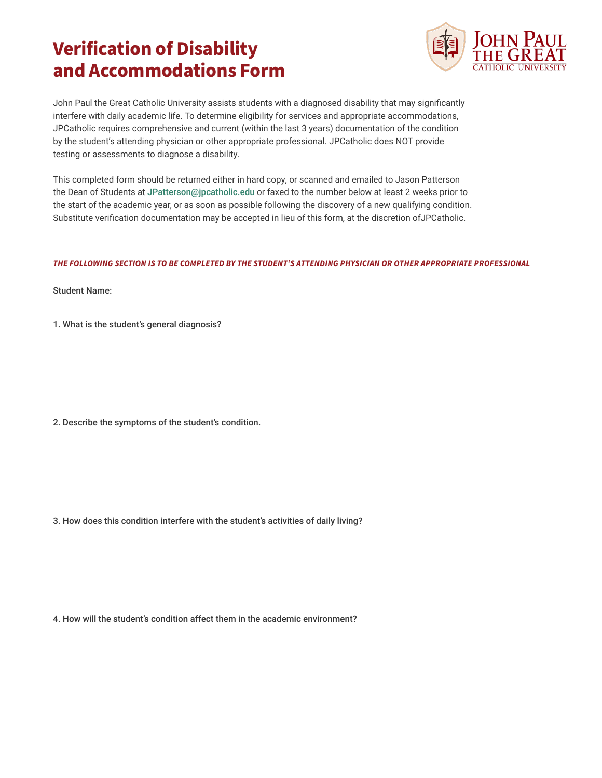## **Verification of Disability and Accommodations Form**



John Paul the Great Catholic University assists students with a diagnosed disability that may significantly interfere with daily academic life. To determine eligibility for services and appropriate accommodations, JPCatholic requires comprehensive and current (within the last 3 years) documentation of the condition by the student's attending physician or other appropriate professional. JPCatholic does NOT provide testing or assessments to diagnose a disability.

This completed form should be returned either in hard copy, or scanned and emailed to Jason Patterson the Dean of Students at JPatterson@jpcatholic.edu or faxed to the number below at least 2 weeks prior to the start of the academic year, or as soon as possible following the discovery of a new qualifying condition. Substitute verification documentation may be accepted in lieu of this form, at the discretion ofJPCatholic.

## *THE FOLLOWING SECTION IS TO BE COMPLETED BY THE STUDENT'S ATTENDING PHYSICIAN OR OTHER APPROPRIATE PROFESSIONAL*

Student Name:

1. What is the student's general diagnosis?

2. Describe the symptoms of the student's condition.

3. How does this condition interfere with the student's activities of daily living?

4. How will the student's condition affect them in the academic environment?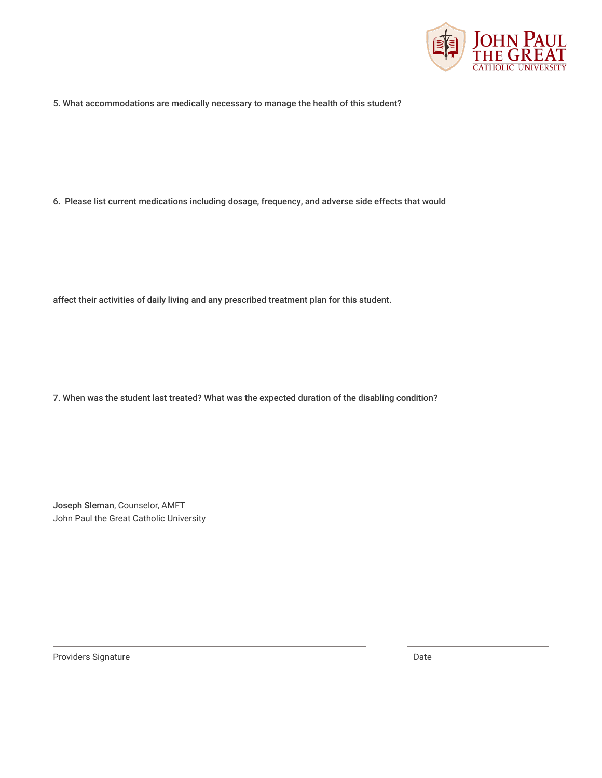

5. What accommodations are medically necessary to manage the health of this student?

6. Please list current medications including dosage, frequency, and adverse side effects that would

affect their activities of daily living and any prescribed treatment plan for this student.

7. When was the student last treated? What was the expected duration of the disabling condition?

Joseph Sleman, Counselor, AMFT John Paul the Great Catholic University

Providers Signature Date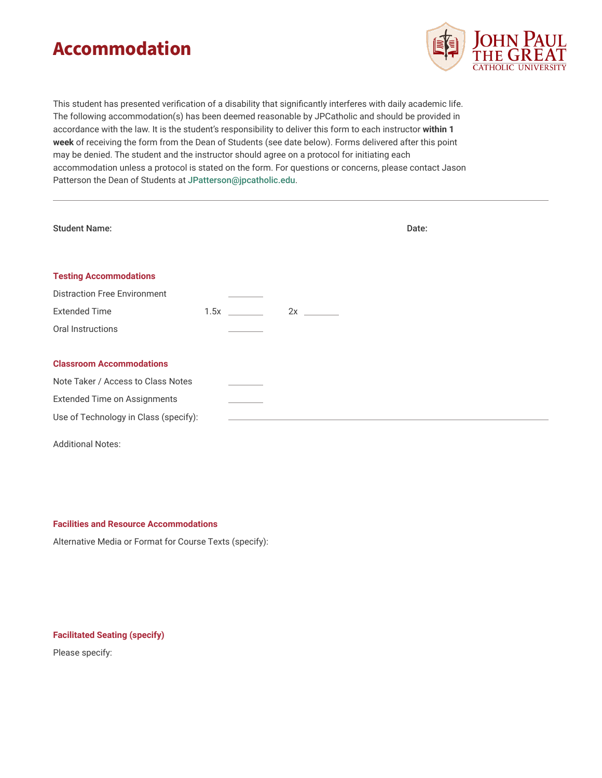## **Accommodation**



This student has presented verification of a disability that significantly interferes with daily academic life. The following accommodation(s) has been deemed reasonable by JPCatholic and should be provided in accordance with the law. It is the student's responsibility to deliver this form to each instructor **within 1 week** of receiving the form from the Dean of Students (see date below). Forms delivered after this point may be denied. The student and the instructor should agree on a protocol for initiating each accommodation unless a protocol is stated on the form. For questions or concerns, please contact Jason Patterson the Dean of Students at JPatterson@jpcatholic.edu.

| <b>Student Name:</b>                                                 |      |              | Date: |  |
|----------------------------------------------------------------------|------|--------------|-------|--|
| <b>Testing Accommodations</b><br><b>Distraction Free Environment</b> |      |              |       |  |
| <b>Extended Time</b>                                                 | 1.5x | $2x \quad -$ |       |  |
| Oral Instructions                                                    |      |              |       |  |
| <b>Classroom Accommodations</b>                                      |      |              |       |  |
| Note Taker / Access to Class Notes                                   |      |              |       |  |
| <b>Extended Time on Assignments</b>                                  |      |              |       |  |
| Use of Technology in Class (specify):                                |      |              |       |  |
| <b>Additional Notes:</b>                                             |      |              |       |  |

**Facilities and Resource Accommodations**

Alternative Media or Format for Course Texts (specify):

## **Facilitated Seating (specify)**

Please specify: